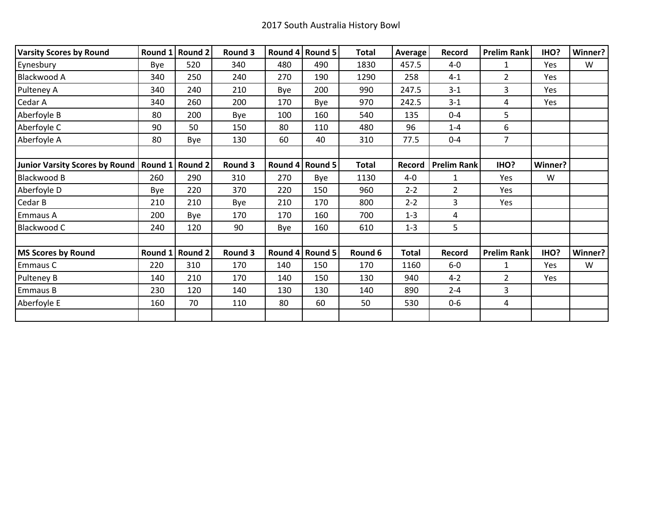| <b>Varsity Scores by Round</b>        |         | Round 1 Round 2 | Round 3 |         | Round 4 Round 5 | <b>Total</b> | Average      | Record             | <b>Prelim Rank</b> | IHO?    | Winner? |
|---------------------------------------|---------|-----------------|---------|---------|-----------------|--------------|--------------|--------------------|--------------------|---------|---------|
| Eynesbury                             | Bye     | 520             | 340     | 480     | 490             | 1830         | 457.5        | $4-0$              | $\mathbf{1}$       | Yes     | W       |
| Blackwood A                           | 340     | 250             | 240     | 270     | 190             | 1290         | 258          | $4 - 1$            | $\overline{2}$     | Yes     |         |
| Pulteney A                            | 340     | 240             | 210     | Bye     | 200             | 990          | 247.5        | $3 - 1$            | 3                  | Yes     |         |
| Cedar A                               | 340     | 260             | 200     | 170     | Bye             | 970          | 242.5        | $3 - 1$            | 4                  | Yes     |         |
| Aberfoyle B                           | 80      | 200             | Bye     | 100     | 160             | 540          | 135          | $0 - 4$            | 5                  |         |         |
| Aberfoyle C                           | 90      | 50              | 150     | 80      | 110             | 480          | 96           | $1 - 4$            | 6                  |         |         |
| Aberfoyle A                           | 80      | Bye             | 130     | 60      | 40              | 310          | 77.5         | $0 - 4$            | $\overline{7}$     |         |         |
|                                       |         |                 |         |         |                 |              |              |                    |                    |         |         |
| <b>Junior Varsity Scores by Round</b> | Round 1 | Round 2         | Round 3 | Round 4 | Round 5         | <b>Total</b> | Record       | <b>Prelim Rank</b> | IHO?               | Winner? |         |
| Blackwood B                           | 260     | 290             | 310     | 270     | Bye             | 1130         | $4-0$        | $\mathbf{1}$       | Yes                | W       |         |
| Aberfoyle D                           | Bye     | 220             | 370     | 220     | 150             | 960          | $2 - 2$      | $\overline{2}$     | Yes                |         |         |
| Cedar B                               | 210     | 210             | Bye     | 210     | 170             | 800          | $2 - 2$      | 3                  | Yes                |         |         |
| Emmaus A                              | 200     | Bye             | 170     | 170     | 160             | 700          | $1 - 3$      | 4                  |                    |         |         |
| Blackwood C                           | 240     | 120             | 90      | Bye     | 160             | 610          | $1 - 3$      | 5                  |                    |         |         |
|                                       |         |                 |         |         |                 |              |              |                    |                    |         |         |
| <b>MS Scores by Round</b>             | Round 1 | Round 2         | Round 3 | Round 4 | Round 5         | Round 6      | <b>Total</b> | Record             | <b>Prelim Rank</b> | IHO?    | Winner? |
| Emmaus C                              | 220     | 310             | 170     | 140     | 150             | 170          | 1160         | $6-0$              | 1                  | Yes     | W       |
| Pulteney B                            | 140     | 210             | 170     | 140     | 150             | 130          | 940          | $4 - 2$            | $\overline{2}$     | Yes     |         |
| <b>Emmaus B</b>                       | 230     | 120             | 140     | 130     | 130             | 140          | 890          | $2 - 4$            | 3                  |         |         |
| Aberfoyle E                           | 160     | 70              | 110     | 80      | 60              | 50           | 530          | $0-6$              | 4                  |         |         |
|                                       |         |                 |         |         |                 |              |              |                    |                    |         |         |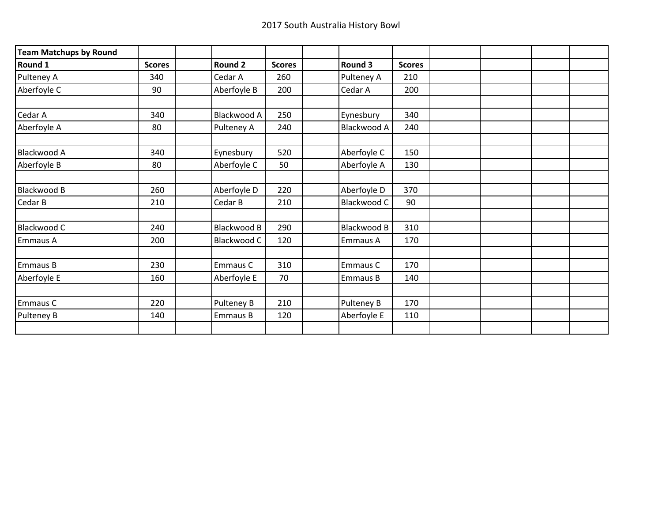| <b>Team Matchups by Round</b> |               |                    |               |                    |               |  |  |
|-------------------------------|---------------|--------------------|---------------|--------------------|---------------|--|--|
| Round 1                       | <b>Scores</b> | <b>Round 2</b>     | <b>Scores</b> | Round 3            | <b>Scores</b> |  |  |
| Pulteney A                    | 340           | Cedar A            | 260           | Pulteney A         | 210           |  |  |
| Aberfoyle C                   | 90            | Aberfoyle B        | 200           | Cedar A            | 200           |  |  |
|                               |               |                    |               |                    |               |  |  |
| Cedar A                       | 340           | Blackwood A        | 250           | Eynesbury          | 340           |  |  |
| Aberfoyle A                   | 80            | Pulteney A         | 240           | Blackwood A        | 240           |  |  |
|                               |               |                    |               |                    |               |  |  |
| Blackwood A                   | 340           | Eynesbury          | 520           | Aberfoyle C        | 150           |  |  |
| Aberfoyle B                   | 80            | Aberfoyle C        | 50            | Aberfoyle A        | 130           |  |  |
|                               |               |                    |               |                    |               |  |  |
| Blackwood B                   | 260           | Aberfoyle D        | 220           | Aberfoyle D        | 370           |  |  |
| Cedar B                       | 210           | Cedar B            | 210           | Blackwood C        | 90            |  |  |
|                               |               |                    |               |                    |               |  |  |
| Blackwood C                   | 240           | <b>Blackwood B</b> | 290           | <b>Blackwood B</b> | 310           |  |  |
| Emmaus A                      | 200           | Blackwood C        | 120           | Emmaus A           | 170           |  |  |
|                               |               |                    |               |                    |               |  |  |
| Emmaus B                      | 230           | Emmaus C           | 310           | Emmaus C           | 170           |  |  |
| Aberfoyle E                   | 160           | Aberfoyle E        | 70            | Emmaus B           | 140           |  |  |
|                               |               |                    |               |                    |               |  |  |
| Emmaus C                      | 220           | Pulteney B         | 210           | Pulteney B         | 170           |  |  |
| Pulteney B                    | 140           | Emmaus B           | 120           | Aberfoyle E        | 110           |  |  |
|                               |               |                    |               |                    |               |  |  |